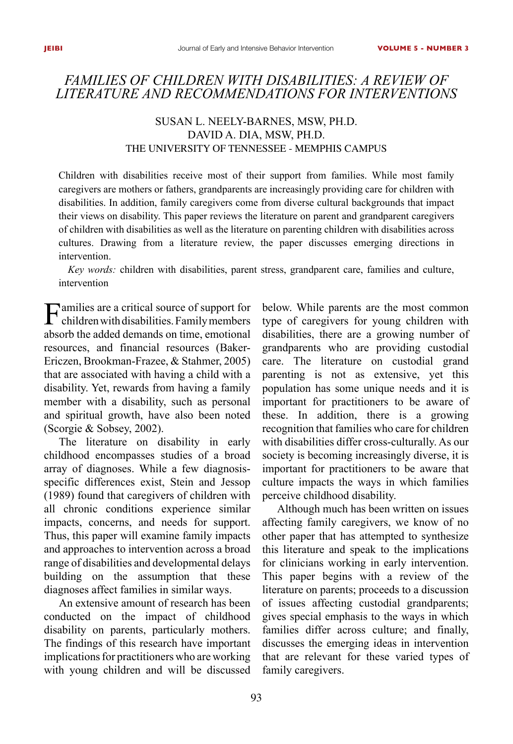# *Families of Children with Disabilities: A Review of Literature and Recommendations for Interventions*

# SUSAN L. NEELY-BARNES, MSW, PH.D. David A. Dia, MSW, Ph.D. The University of Tennessee - Memphis Campus

Children with disabilities receive most of their support from families. While most family caregivers are mothers or fathers, grandparents are increasingly providing care for children with disabilities. In addition, family caregivers come from diverse cultural backgrounds that impact their views on disability. This paper reviews the literature on parent and grandparent caregivers of children with disabilities as well as the literature on parenting children with disabilities across cultures. Drawing from a literature review, the paper discusses emerging directions in intervention.

*Key words:* children with disabilities, parent stress, grandparent care, families and culture, intervention

Families are a critical source of support for children with disabilities. Family members absorb the added demands on time, emotional resources, and financial resources (Baker-Ericzen, Brookman-Frazee, & Stahmer, 2005) that are associated with having a child with a disability. Yet, rewards from having a family member with a disability, such as personal and spiritual growth, have also been noted (Scorgie & Sobsey, 2002).

The literature on disability in early childhood encompasses studies of a broad array of diagnoses. While a few diagnosisspecific differences exist, Stein and Jessop (1989) found that caregivers of children with all chronic conditions experience similar impacts, concerns, and needs for support. Thus, this paper will examine family impacts and approaches to intervention across a broad range of disabilities and developmental delays building on the assumption that these diagnoses affect families in similar ways.

An extensive amount of research has been conducted on the impact of childhood disability on parents, particularly mothers. The findings of this research have important implications for practitioners who are working with young children and will be discussed below. While parents are the most common type of caregivers for young children with disabilities, there are a growing number of grandparents who are providing custodial care. The literature on custodial grand parenting is not as extensive, yet this population has some unique needs and it is important for practitioners to be aware of these. In addition, there is a growing recognition that families who care for children with disabilities differ cross-culturally. As our society is becoming increasingly diverse, it is important for practitioners to be aware that culture impacts the ways in which families perceive childhood disability.

Although much has been written on issues affecting family caregivers, we know of no other paper that has attempted to synthesize this literature and speak to the implications for clinicians working in early intervention. This paper begins with a review of the literature on parents; proceeds to a discussion of issues affecting custodial grandparents; gives special emphasis to the ways in which families differ across culture; and finally, discusses the emerging ideas in intervention that are relevant for these varied types of family caregivers.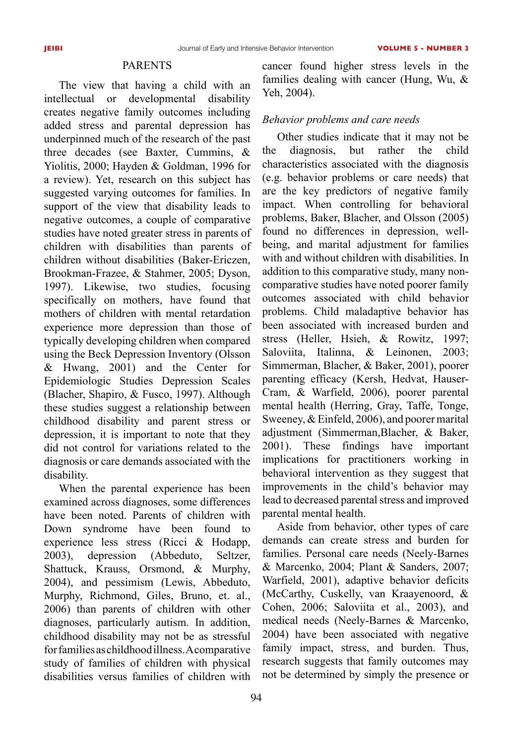### **PARENTS**

The view that having a child with an intellectual or developmental disability creates negative family outcomes including added stress and parental depression has underpinned much of the research of the past three decades (see Baxter, Cummins, & Yiolitis, 2000; Hayden & Goldman, 1996 for a review). Yet, research on this subject has suggested varying outcomes for families. In support of the view that disability leads to negative outcomes, a couple of comparative studies have noted greater stress in parents of children with disabilities than parents of children without disabilities (Baker-Ericzen, Brookman-Frazee, & Stahmer, 2005; Dyson, 1997). Likewise, two studies, focusing specifically on mothers, have found that mothers of children with mental retardation experience more depression than those of typically developing children when compared using the Beck Depression Inventory (Olsson & Hwang, 2001) and the Center for Epidemiologic Studies Depression Scales (Blacher, Shapiro, & Fusco, 1997). Although these studies suggest a relationship between childhood disability and parent stress or depression, it is important to note that they did not control for variations related to the diagnosis or care demands associated with the disability.

When the parental experience has been examined across diagnoses, some differences have been noted. Parents of children with Down syndrome have been found to experience less stress (Ricci & Hodapp, 2003), depression (Abbeduto, Seltzer, Shattuck, Krauss, Orsmond, & Murphy, 2004), and pessimism (Lewis, Abbeduto, Murphy, Richmond, Giles, Bruno, et. al., 2006) than parents of children with other diagnoses, particularly autism. In addition, childhood disability may not be as stressful for families as childhood illness. A comparative study of families of children with physical disabilities versus families of children with cancer found higher stress levels in the families dealing with cancer (Hung, Wu, & Yeh, 2004).

## *Behavior problems and care needs*

Other studies indicate that it may not be the diagnosis, but rather the child characteristics associated with the diagnosis (e.g. behavior problems or care needs) that are the key predictors of negative family impact. When controlling for behavioral problems, Baker, Blacher, and Olsson (2005) found no differences in depression, wellbeing, and marital adjustment for families with and without children with disabilities. In addition to this comparative study, many noncomparative studies have noted poorer family outcomes associated with child behavior problems. Child maladaptive behavior has been associated with increased burden and stress (Heller, Hsieh, & Rowitz, 1997; Saloviita, Italinna, & Leinonen, 2003; Simmerman, Blacher, & Baker, 2001), poorer parenting efficacy (Kersh, Hedvat, Hauser-Cram, & Warfield, 2006), poorer parental mental health (Herring, Gray, Taffe, Tonge, Sweeney, & Einfeld, 2006), and poorer marital adjustment (Simmerman,Blacher, & Baker, 2001). These findings have important implications for practitioners working in behavioral intervention as they suggest that improvements in the child's behavior may lead to decreased parental stress and improved parental mental health.

Aside from behavior, other types of care demands can create stress and burden for families. Personal care needs (Neely-Barnes & Marcenko, 2004; Plant & Sanders, 2007; Warfield, 2001), adaptive behavior deficits (McCarthy, Cuskelly, van Kraayenoord, & Cohen, 2006; Saloviita et al., 2003), and medical needs (Neely-Barnes & Marcenko, 2004) have been associated with negative family impact, stress, and burden. Thus, research suggests that family outcomes may not be determined by simply the presence or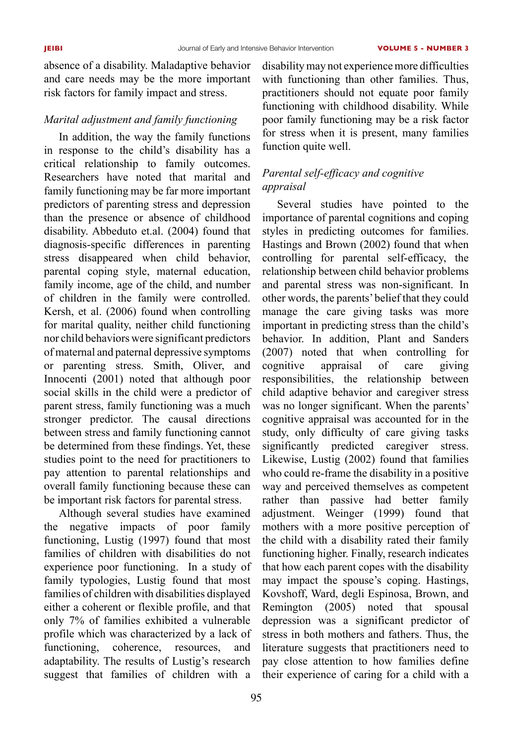absence of a disability. Maladaptive behavior and care needs may be the more important risk factors for family impact and stress.

## *Marital adjustment and family functioning*

In addition, the way the family functions in response to the child's disability has a critical relationship to family outcomes. Researchers have noted that marital and family functioning may be far more important predictors of parenting stress and depression than the presence or absence of childhood disability. Abbeduto et.al. (2004) found that diagnosis-specific differences in parenting stress disappeared when child behavior, parental coping style, maternal education, family income, age of the child, and number of children in the family were controlled. Kersh, et al. (2006) found when controlling for marital quality, neither child functioning nor child behaviors were significant predictors of maternal and paternal depressive symptoms or parenting stress. Smith, Oliver, and Innocenti (2001) noted that although poor social skills in the child were a predictor of parent stress, family functioning was a much stronger predictor. The causal directions between stress and family functioning cannot be determined from these findings. Yet, these studies point to the need for practitioners to pay attention to parental relationships and overall family functioning because these can be important risk factors for parental stress.

Although several studies have examined the negative impacts of poor family functioning, Lustig (1997) found that most families of children with disabilities do not experience poor functioning. In a study of family typologies, Lustig found that most families of children with disabilities displayed either a coherent or flexible profile, and that only 7% of families exhibited a vulnerable profile which was characterized by a lack of functioning, coherence, resources, and adaptability. The results of Lustig's research suggest that families of children with a

disability may not experience more difficulties with functioning than other families. Thus, practitioners should not equate poor family functioning with childhood disability. While poor family functioning may be a risk factor for stress when it is present, many families function quite well.

# *Parental self-efficacy and cognitive appraisal*

Several studies have pointed to the importance of parental cognitions and coping styles in predicting outcomes for families. Hastings and Brown (2002) found that when controlling for parental self-efficacy, the relationship between child behavior problems and parental stress was non-significant. In other words, the parents' belief that they could manage the care giving tasks was more important in predicting stress than the child's behavior. In addition, Plant and Sanders (2007) noted that when controlling for cognitive appraisal of care giving responsibilities, the relationship between child adaptive behavior and caregiver stress was no longer significant. When the parents' cognitive appraisal was accounted for in the study, only difficulty of care giving tasks significantly predicted caregiver stress. Likewise, Lustig (2002) found that families who could re-frame the disability in a positive way and perceived themselves as competent rather than passive had better family adjustment. Weinger (1999) found that mothers with a more positive perception of the child with a disability rated their family functioning higher. Finally, research indicates that how each parent copes with the disability may impact the spouse's coping. Hastings, Kovshoff, Ward, degli Espinosa, Brown, and Remington (2005) noted that spousal depression was a significant predictor of stress in both mothers and fathers. Thus, the literature suggests that practitioners need to pay close attention to how families define their experience of caring for a child with a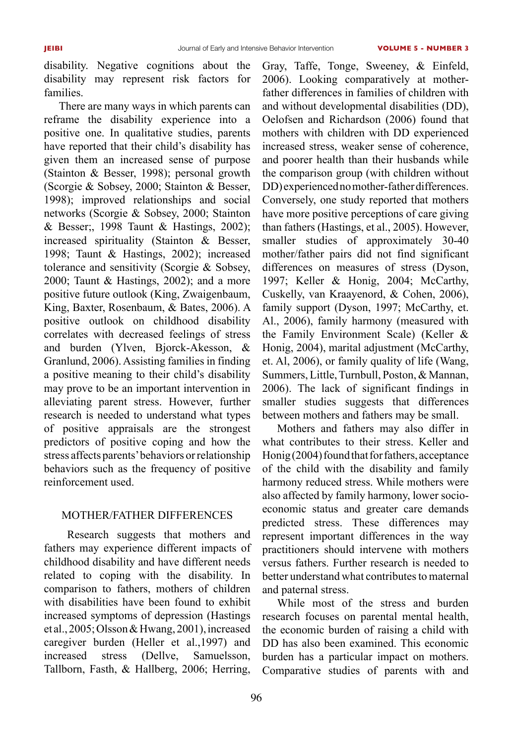disability. Negative cognitions about the disability may represent risk factors for families.

There are many ways in which parents can reframe the disability experience into a positive one. In qualitative studies, parents have reported that their child's disability has given them an increased sense of purpose (Stainton & Besser, 1998); personal growth (Scorgie & Sobsey, 2000; Stainton & Besser, 1998); improved relationships and social networks (Scorgie & Sobsey, 2000; Stainton & Besser;, 1998 Taunt & Hastings, 2002); increased spirituality (Stainton & Besser, 1998; Taunt & Hastings, 2002); increased tolerance and sensitivity (Scorgie & Sobsey, 2000; Taunt & Hastings, 2002); and a more positive future outlook (King, Zwaigenbaum, King, Baxter, Rosenbaum, & Bates, 2006). A positive outlook on childhood disability correlates with decreased feelings of stress and burden (Ylven, Bjorck-Akesson, & Granlund, 2006). Assisting families in finding a positive meaning to their child's disability may prove to be an important intervention in alleviating parent stress. However, further research is needed to understand what types of positive appraisals are the strongest predictors of positive coping and how the stress affects parents' behaviors or relationship behaviors such as the frequency of positive reinforcement used.

## Mother/father differences

 Research suggests that mothers and fathers may experience different impacts of childhood disability and have different needs related to coping with the disability. In comparison to fathers, mothers of children with disabilities have been found to exhibit increased symptoms of depression (Hastings et al., 2005; Olsson & Hwang, 2001), increased caregiver burden (Heller et al.,1997) and increased stress (Dellve, Samuelsson, Tallborn, Fasth, & Hallberg, 2006; Herring,

Gray, Taffe, Tonge, Sweeney, & Einfeld, 2006). Looking comparatively at motherfather differences in families of children with and without developmental disabilities (DD), Oelofsen and Richardson (2006) found that mothers with children with DD experienced increased stress, weaker sense of coherence, and poorer health than their husbands while the comparison group (with children without DD) experienced no mother-father differences. Conversely, one study reported that mothers have more positive perceptions of care giving than fathers (Hastings, et al., 2005). However, smaller studies of approximately 30-40 mother/father pairs did not find significant differences on measures of stress (Dyson, 1997; Keller & Honig, 2004; McCarthy, Cuskelly, van Kraayenord, & Cohen, 2006), family support (Dyson, 1997; McCarthy, et. Al., 2006), family harmony (measured with the Family Environment Scale) (Keller & Honig, 2004), marital adjustment (McCarthy, et. Al, 2006), or family quality of life (Wang, Summers, Little, Turnbull, Poston, & Mannan, 2006). The lack of significant findings in smaller studies suggests that differences between mothers and fathers may be small.

Mothers and fathers may also differ in what contributes to their stress. Keller and Honig (2004) found that for fathers, acceptance of the child with the disability and family harmony reduced stress. While mothers were also affected by family harmony, lower socioeconomic status and greater care demands predicted stress. These differences may represent important differences in the way practitioners should intervene with mothers versus fathers. Further research is needed to better understand what contributes to maternal and paternal stress.

While most of the stress and burden research focuses on parental mental health, the economic burden of raising a child with DD has also been examined. This economic burden has a particular impact on mothers. Comparative studies of parents with and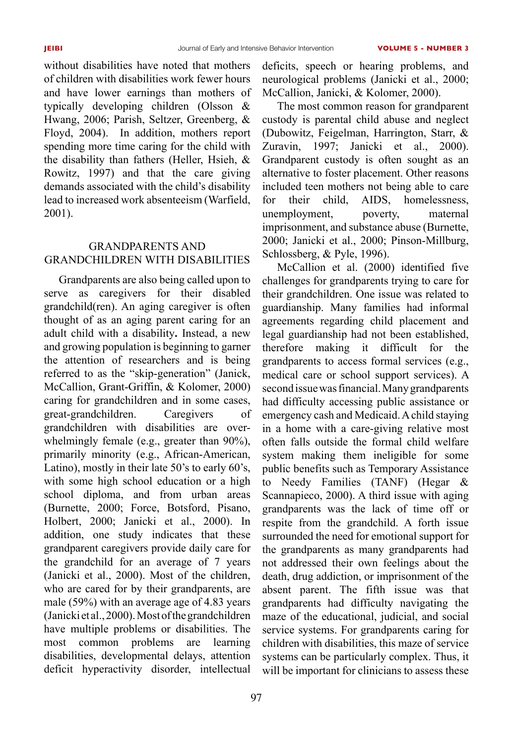without disabilities have noted that mothers of children with disabilities work fewer hours and have lower earnings than mothers of typically developing children (Olsson & Hwang, 2006; Parish, Seltzer, Greenberg, & Floyd, 2004). In addition, mothers report spending more time caring for the child with the disability than fathers (Heller, Hsieh, & Rowitz, 1997) and that the care giving demands associated with the child's disability lead to increased work absenteeism (Warfield, 2001).

# Grandparents and Grandchildren with Disabilities

Grandparents are also being called upon to serve as caregivers for their disabled grandchild(ren). An aging caregiver is often thought of as an aging parent caring for an adult child with a disability**.** Instead, a new and growing population is beginning to garner the attention of researchers and is being referred to as the "skip-generation" (Janick, McCallion, Grant-Griffin, & Kolomer, 2000) caring for grandchildren and in some cases, great-grandchildren. Caregivers of grandchildren with disabilities are overwhelmingly female (e.g., greater than 90%), primarily minority (e.g., African-American, Latino), mostly in their late 50's to early 60's, with some high school education or a high school diploma, and from urban areas (Burnette, 2000; Force, Botsford, Pisano, Holbert, 2000; Janicki et al., 2000). In addition, one study indicates that these grandparent caregivers provide daily care for the grandchild for an average of 7 years (Janicki et al., 2000). Most of the children, who are cared for by their grandparents, are male (59%) with an average age of 4.83 years (Janicki et al., 2000). Most of the grandchildren have multiple problems or disabilities. The most common problems are learning disabilities, developmental delays, attention deficit hyperactivity disorder, intellectual

deficits, speech or hearing problems, and neurological problems (Janicki et al., 2000; McCallion, Janicki, & Kolomer, 2000).

The most common reason for grandparent custody is parental child abuse and neglect (Dubowitz, Feigelman, Harrington, Starr, & Zuravin, 1997; Janicki et al., 2000). Grandparent custody is often sought as an alternative to foster placement. Other reasons included teen mothers not being able to care for their child, AIDS, homelessness, unemployment, poverty, maternal imprisonment, and substance abuse (Burnette, 2000; Janicki et al., 2000; Pinson-Millburg, Schlossberg, & Pyle, 1996).

McCallion et al. (2000) identified five challenges for grandparents trying to care for their grandchildren. One issue was related to guardianship. Many families had informal agreements regarding child placement and legal guardianship had not been established, therefore making it difficult for the grandparents to access formal services (e.g., medical care or school support services). A second issue was financial. Many grandparents had difficulty accessing public assistance or emergency cash and Medicaid. A child staying in a home with a care-giving relative most often falls outside the formal child welfare system making them ineligible for some public benefits such as Temporary Assistance to Needy Families (TANF) (Hegar & Scannapieco, 2000). A third issue with aging grandparents was the lack of time off or respite from the grandchild. A forth issue surrounded the need for emotional support for the grandparents as many grandparents had not addressed their own feelings about the death, drug addiction, or imprisonment of the absent parent. The fifth issue was that grandparents had difficulty navigating the maze of the educational, judicial, and social service systems. For grandparents caring for children with disabilities, this maze of service systems can be particularly complex. Thus, it will be important for clinicians to assess these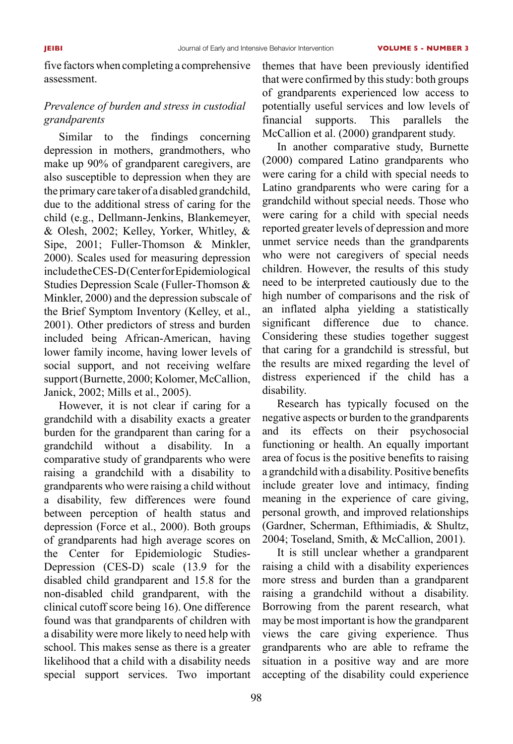five factors when completing a comprehensive assessment.

# *Prevalence of burden and stress in custodial grandparents*

Similar to the findings concerning depression in mothers, grandmothers, who make up 90% of grandparent caregivers, are also susceptible to depression when they are the primary care taker of a disabled grandchild, due to the additional stress of caring for the child (e.g., Dellmann-Jenkins, Blankemeyer, & Olesh, 2002; Kelley, Yorker, Whitley, & Sipe, 2001; Fuller-Thomson & Minkler, 2000). Scales used for measuring depression include the CES-D (Center for Epidemiological Studies Depression Scale (Fuller-Thomson & Minkler, 2000) and the depression subscale of the Brief Symptom Inventory (Kelley, et al., 2001). Other predictors of stress and burden included being African-American, having lower family income, having lower levels of social support, and not receiving welfare support (Burnette, 2000; Kolomer, McCallion, Janick, 2002; Mills et al., 2005).

However, it is not clear if caring for a grandchild with a disability exacts a greater burden for the grandparent than caring for a grandchild without a disability. In a comparative study of grandparents who were raising a grandchild with a disability to grandparents who were raising a child without a disability, few differences were found between perception of health status and depression (Force et al., 2000). Both groups of grandparents had high average scores on the Center for Epidemiologic Studies-Depression (CES-D) scale (13.9 for the disabled child grandparent and 15.8 for the non-disabled child grandparent, with the clinical cutoff score being 16). One difference found was that grandparents of children with a disability were more likely to need help with school. This makes sense as there is a greater likelihood that a child with a disability needs special support services. Two important themes that have been previously identified that were confirmed by this study: both groups of grandparents experienced low access to potentially useful services and low levels of financial supports. This parallels the McCallion et al. (2000) grandparent study.

In another comparative study, Burnette (2000) compared Latino grandparents who were caring for a child with special needs to Latino grandparents who were caring for a grandchild without special needs. Those who were caring for a child with special needs reported greater levels of depression and more unmet service needs than the grandparents who were not caregivers of special needs children. However, the results of this study need to be interpreted cautiously due to the high number of comparisons and the risk of an inflated alpha yielding a statistically significant difference due to chance. Considering these studies together suggest that caring for a grandchild is stressful, but the results are mixed regarding the level of distress experienced if the child has a disability.

Research has typically focused on the negative aspects or burden to the grandparents and its effects on their psychosocial functioning or health. An equally important area of focus is the positive benefits to raising a grandchild with a disability. Positive benefits include greater love and intimacy, finding meaning in the experience of care giving, personal growth, and improved relationships (Gardner, Scherman, Efthimiadis, & Shultz, 2004; Toseland, Smith, & McCallion, 2001).

It is still unclear whether a grandparent raising a child with a disability experiences more stress and burden than a grandparent raising a grandchild without a disability. Borrowing from the parent research, what may be most important is how the grandparent views the care giving experience. Thus grandparents who are able to reframe the situation in a positive way and are more accepting of the disability could experience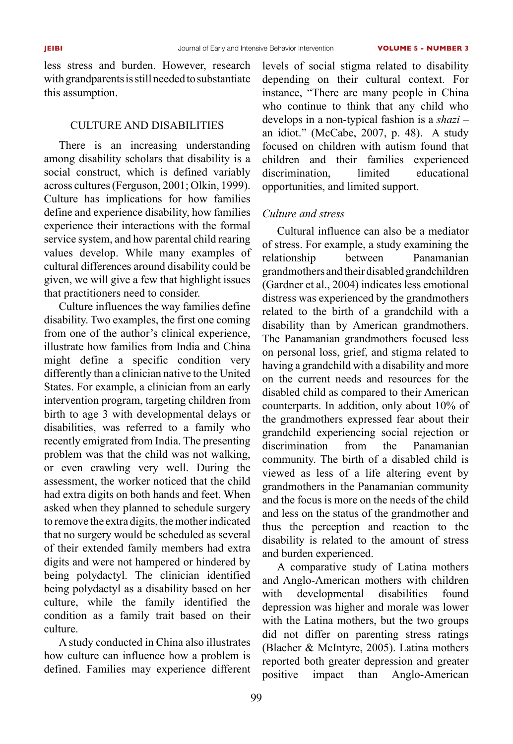less stress and burden. However, research with grandparents is still needed to substantiate this assumption.

## Culture and Disabilities

There is an increasing understanding among disability scholars that disability is a social construct, which is defined variably across cultures (Ferguson, 2001; Olkin, 1999). Culture has implications for how families define and experience disability, how families experience their interactions with the formal service system, and how parental child rearing values develop. While many examples of cultural differences around disability could be given, we will give a few that highlight issues that practitioners need to consider.

Culture influences the way families define disability. Two examples, the first one coming from one of the author's clinical experience, illustrate how families from India and China might define a specific condition very differently than a clinician native to the United States. For example, a clinician from an early intervention program, targeting children from birth to age 3 with developmental delays or disabilities, was referred to a family who recently emigrated from India. The presenting problem was that the child was not walking, or even crawling very well. During the assessment, the worker noticed that the child had extra digits on both hands and feet. When asked when they planned to schedule surgery to remove the extra digits, the mother indicated that no surgery would be scheduled as several of their extended family members had extra digits and were not hampered or hindered by being polydactyl. The clinician identified being polydactyl as a disability based on her culture, while the family identified the condition as a family trait based on their culture.

A study conducted in China also illustrates how culture can influence how a problem is defined. Families may experience different

levels of social stigma related to disability depending on their cultural context. For instance, "There are many people in China who continue to think that any child who develops in a non-typical fashion is a *shazi* – an idiot." (McCabe, 2007, p. 48). A study focused on children with autism found that children and their families experienced discrimination, limited educational opportunities, and limited support.

## *Culture and stress*

Cultural influence can also be a mediator of stress. For example, a study examining the relationship between Panamanian grandmothers and their disabled grandchildren (Gardner et al., 2004) indicates less emotional distress was experienced by the grandmothers related to the birth of a grandchild with a disability than by American grandmothers. The Panamanian grandmothers focused less on personal loss, grief, and stigma related to having a grandchild with a disability and more on the current needs and resources for the disabled child as compared to their American counterparts. In addition, only about 10% of the grandmothers expressed fear about their grandchild experiencing social rejection or discrimination from the Panamanian community. The birth of a disabled child is viewed as less of a life altering event by grandmothers in the Panamanian community and the focus is more on the needs of the child and less on the status of the grandmother and thus the perception and reaction to the disability is related to the amount of stress and burden experienced.

A comparative study of Latina mothers and Anglo-American mothers with children with developmental disabilities found depression was higher and morale was lower with the Latina mothers, but the two groups did not differ on parenting stress ratings (Blacher & McIntyre, 2005). Latina mothers reported both greater depression and greater positive impact than Anglo-American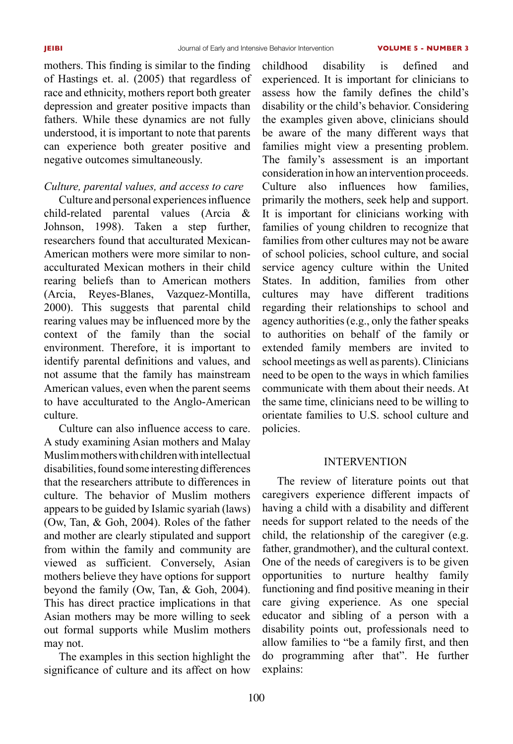mothers. This finding is similar to the finding of Hastings et. al. (2005) that regardless of race and ethnicity, mothers report both greater depression and greater positive impacts than fathers. While these dynamics are not fully understood, it is important to note that parents can experience both greater positive and negative outcomes simultaneously.

## *Culture, parental values, and access to care*

Culture and personal experiences influence child-related parental values (Arcia & Johnson, 1998). Taken a step further, researchers found that acculturated Mexican-American mothers were more similar to nonacculturated Mexican mothers in their child rearing beliefs than to American mothers (Arcia, Reyes-Blanes, Vazquez-Montilla, 2000). This suggests that parental child rearing values may be influenced more by the context of the family than the social environment. Therefore, it is important to identify parental definitions and values, and not assume that the family has mainstream American values, even when the parent seems to have acculturated to the Anglo-American culture.

Culture can also influence access to care. A study examining Asian mothers and Malay Muslim mothers with children with intellectual disabilities, found some interesting differences that the researchers attribute to differences in culture. The behavior of Muslim mothers appears to be guided by Islamic syariah (laws) (Ow, Tan, & Goh, 2004). Roles of the father and mother are clearly stipulated and support from within the family and community are viewed as sufficient. Conversely, Asian mothers believe they have options for support beyond the family (Ow, Tan, & Goh, 2004). This has direct practice implications in that Asian mothers may be more willing to seek out formal supports while Muslim mothers may not.

The examples in this section highlight the significance of culture and its affect on how childhood disability is defined and experienced. It is important for clinicians to assess how the family defines the child's disability or the child's behavior. Considering the examples given above, clinicians should be aware of the many different ways that families might view a presenting problem. The family's assessment is an important consideration in how an intervention proceeds. Culture also influences how families, primarily the mothers, seek help and support. It is important for clinicians working with families of young children to recognize that families from other cultures may not be aware of school policies, school culture, and social service agency culture within the United States. In addition, families from other cultures may have different traditions regarding their relationships to school and agency authorities (e.g., only the father speaks to authorities on behalf of the family or extended family members are invited to school meetings as well as parents). Clinicians need to be open to the ways in which families communicate with them about their needs. At the same time, clinicians need to be willing to orientate families to U.S. school culture and policies.

## **INTERVENTION**

The review of literature points out that caregivers experience different impacts of having a child with a disability and different needs for support related to the needs of the child, the relationship of the caregiver (e.g. father, grandmother), and the cultural context. One of the needs of caregivers is to be given opportunities to nurture healthy family functioning and find positive meaning in their care giving experience. As one special educator and sibling of a person with a disability points out, professionals need to allow families to "be a family first, and then do programming after that". He further explains: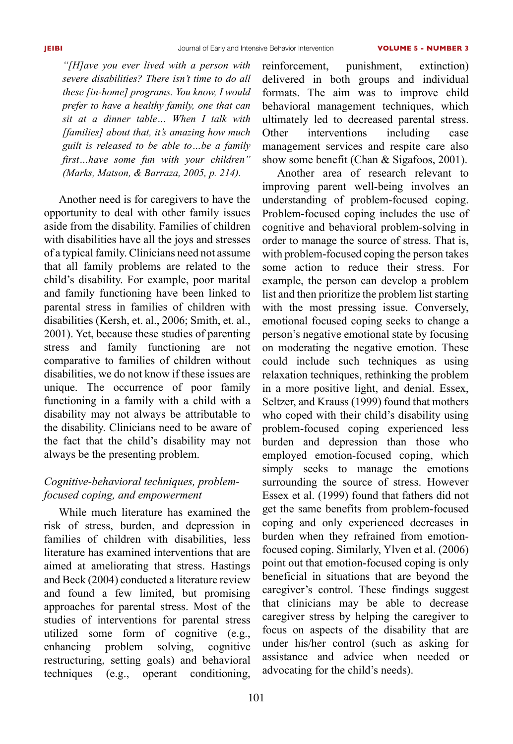*"[H]ave you ever lived with a person with severe disabilities? There isn't time to do all these [in-home] programs. You know, I would prefer to have a healthy family, one that can sit at a dinner table… When I talk with [families] about that, it's amazing how much guilt is released to be able to…be a family first…have some fun with your children" (Marks, Matson, & Barraza, 2005, p. 214).* 

Another need is for caregivers to have the opportunity to deal with other family issues aside from the disability. Families of children with disabilities have all the joys and stresses of a typical family. Clinicians need not assume that all family problems are related to the child's disability. For example, poor marital and family functioning have been linked to parental stress in families of children with disabilities (Kersh, et. al., 2006; Smith, et. al., 2001). Yet, because these studies of parenting stress and family functioning are not comparative to families of children without disabilities, we do not know if these issues are unique. The occurrence of poor family functioning in a family with a child with a disability may not always be attributable to the disability. Clinicians need to be aware of the fact that the child's disability may not always be the presenting problem.

# *Cognitive-behavioral techniques, problemfocused coping, and empowerment*

While much literature has examined the risk of stress, burden, and depression in families of children with disabilities, less literature has examined interventions that are aimed at ameliorating that stress. Hastings and Beck (2004) conducted a literature review and found a few limited, but promising approaches for parental stress. Most of the studies of interventions for parental stress utilized some form of cognitive (e.g., enhancing problem solving, cognitive restructuring, setting goals) and behavioral techniques (e.g., operant conditioning, reinforcement, punishment, extinction) delivered in both groups and individual formats. The aim was to improve child behavioral management techniques, which ultimately led to decreased parental stress. Other interventions including case management services and respite care also show some benefit (Chan & Sigafoos, 2001).

Another area of research relevant to improving parent well-being involves an understanding of problem-focused coping. Problem-focused coping includes the use of cognitive and behavioral problem-solving in order to manage the source of stress. That is, with problem-focused coping the person takes some action to reduce their stress. For example, the person can develop a problem list and then prioritize the problem list starting with the most pressing issue. Conversely, emotional focused coping seeks to change a person's negative emotional state by focusing on moderating the negative emotion. These could include such techniques as using relaxation techniques, rethinking the problem in a more positive light, and denial. Essex, Seltzer, and Krauss (1999) found that mothers who coped with their child's disability using problem-focused coping experienced less burden and depression than those who employed emotion-focused coping, which simply seeks to manage the emotions surrounding the source of stress. However Essex et al. (1999) found that fathers did not get the same benefits from problem-focused coping and only experienced decreases in burden when they refrained from emotionfocused coping. Similarly, Ylven et al. (2006) point out that emotion-focused coping is only beneficial in situations that are beyond the caregiver's control. These findings suggest that clinicians may be able to decrease caregiver stress by helping the caregiver to focus on aspects of the disability that are under his/her control (such as asking for assistance and advice when needed or advocating for the child's needs).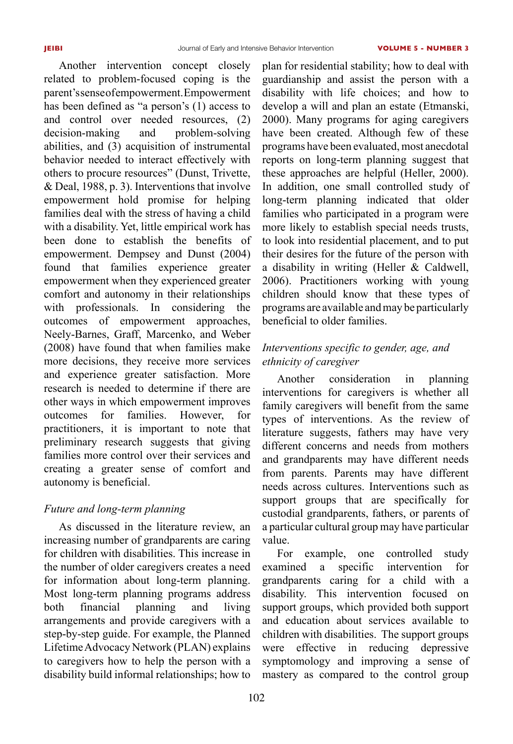Another intervention concept closely related to problem-focused coping is the parent's sense of empowerment. Empowerment has been defined as "a person's (1) access to and control over needed resources, (2) decision-making and problem-solving abilities, and (3) acquisition of instrumental behavior needed to interact effectively with others to procure resources" (Dunst, Trivette, & Deal, 1988, p. 3). Interventions that involve empowerment hold promise for helping families deal with the stress of having a child with a disability. Yet, little empirical work has been done to establish the benefits of empowerment. Dempsey and Dunst (2004) found that families experience greater empowerment when they experienced greater comfort and autonomy in their relationships with professionals. In considering the outcomes of empowerment approaches, Neely-Barnes, Graff, Marcenko, and Weber (2008) have found that when families make more decisions, they receive more services and experience greater satisfaction. More research is needed to determine if there are other ways in which empowerment improves outcomes for families. However, for practitioners, it is important to note that preliminary research suggests that giving families more control over their services and creating a greater sense of comfort and autonomy is beneficial.

# *Future and long-term planning*

As discussed in the literature review, an increasing number of grandparents are caring for children with disabilities. This increase in the number of older caregivers creates a need for information about long-term planning. Most long-term planning programs address both financial planning and living arrangements and provide caregivers with a step-by-step guide. For example, the Planned Lifetime Advocacy Network (PLAN) explains to caregivers how to help the person with a disability build informal relationships; how to

plan for residential stability; how to deal with guardianship and assist the person with a disability with life choices; and how to develop a will and plan an estate (Etmanski, 2000). Many programs for aging caregivers have been created. Although few of these programs have been evaluated, most anecdotal reports on long-term planning suggest that these approaches are helpful (Heller, 2000). In addition, one small controlled study of long-term planning indicated that older families who participated in a program were more likely to establish special needs trusts, to look into residential placement, and to put their desires for the future of the person with a disability in writing (Heller  $\&$  Caldwell, 2006). Practitioners working with young children should know that these types of programs are available and may be particularly beneficial to older families.

# *Interventions specific to gender, age, and ethnicity of caregiver*

Another consideration in planning interventions for caregivers is whether all family caregivers will benefit from the same types of interventions. As the review of literature suggests, fathers may have very different concerns and needs from mothers and grandparents may have different needs from parents. Parents may have different needs across cultures. Interventions such as support groups that are specifically for custodial grandparents, fathers, or parents of a particular cultural group may have particular value.

For example, one controlled study examined a specific intervention for grandparents caring for a child with a disability. This intervention focused on support groups, which provided both support and education about services available to children with disabilities. The support groups were effective in reducing depressive symptomology and improving a sense of mastery as compared to the control group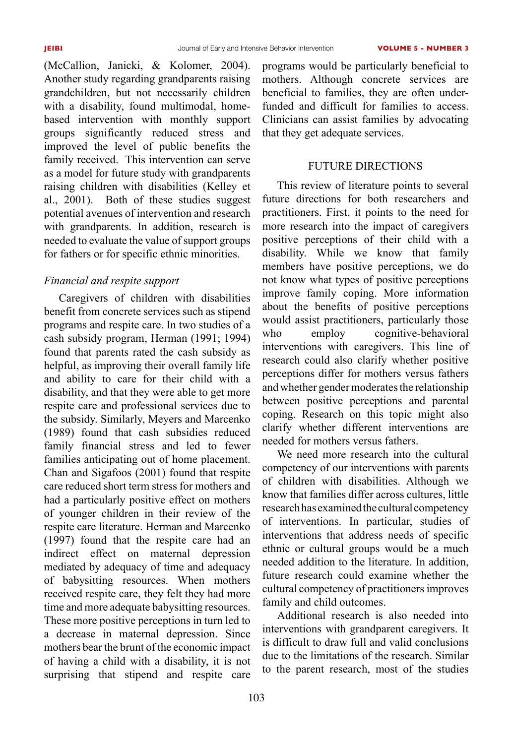(McCallion, Janicki, & Kolomer, 2004). Another study regarding grandparents raising grandchildren, but not necessarily children with a disability, found multimodal, homebased intervention with monthly support groups significantly reduced stress and improved the level of public benefits the family received. This intervention can serve as a model for future study with grandparents raising children with disabilities (Kelley et al., 2001). Both of these studies suggest potential avenues of intervention and research with grandparents. In addition, research is needed to evaluate the value of support groups for fathers or for specific ethnic minorities.

# *Financial and respite support*

Caregivers of children with disabilities benefit from concrete services such as stipend programs and respite care. In two studies of a cash subsidy program, Herman (1991; 1994) found that parents rated the cash subsidy as helpful, as improving their overall family life and ability to care for their child with a disability, and that they were able to get more respite care and professional services due to the subsidy. Similarly, Meyers and Marcenko (1989) found that cash subsidies reduced family financial stress and led to fewer families anticipating out of home placement. Chan and Sigafoos (2001) found that respite care reduced short term stress for mothers and had a particularly positive effect on mothers of younger children in their review of the respite care literature. Herman and Marcenko (1997) found that the respite care had an indirect effect on maternal depression mediated by adequacy of time and adequacy of babysitting resources. When mothers received respite care, they felt they had more time and more adequate babysitting resources. These more positive perceptions in turn led to a decrease in maternal depression. Since mothers bear the brunt of the economic impact of having a child with a disability, it is not surprising that stipend and respite care

programs would be particularly beneficial to mothers. Although concrete services are beneficial to families, they are often underfunded and difficult for families to access. Clinicians can assist families by advocating that they get adequate services.

## Future Directions

This review of literature points to several future directions for both researchers and practitioners. First, it points to the need for more research into the impact of caregivers positive perceptions of their child with a disability. While we know that family members have positive perceptions, we do not know what types of positive perceptions improve family coping. More information about the benefits of positive perceptions would assist practitioners, particularly those who employ cognitive-behavioral interventions with caregivers. This line of research could also clarify whether positive perceptions differ for mothers versus fathers and whether gender moderates the relationship between positive perceptions and parental coping. Research on this topic might also clarify whether different interventions are needed for mothers versus fathers.

We need more research into the cultural competency of our interventions with parents of children with disabilities. Although we know that families differ across cultures, little research has examined the cultural competency of interventions. In particular, studies of interventions that address needs of specific ethnic or cultural groups would be a much needed addition to the literature. In addition, future research could examine whether the cultural competency of practitioners improves family and child outcomes.

Additional research is also needed into interventions with grandparent caregivers. It is difficult to draw full and valid conclusions due to the limitations of the research. Similar to the parent research, most of the studies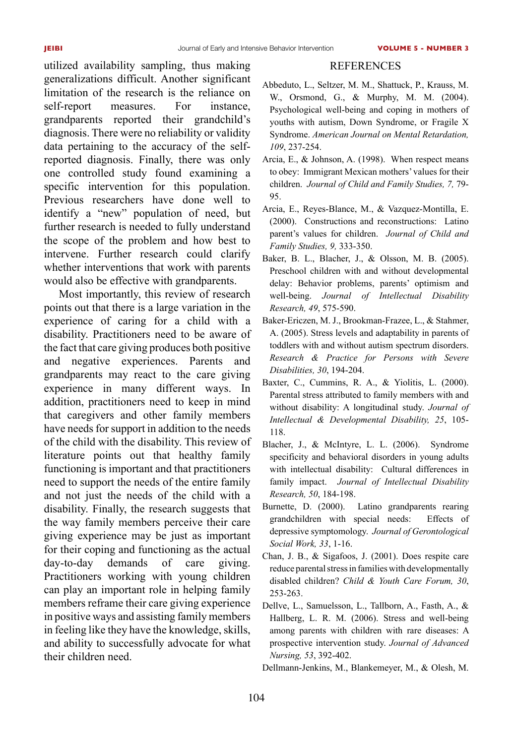#### **REFERENCES**

utilized availability sampling, thus making generalizations difficult. Another significant limitation of the research is the reliance on self-report measures. For instance, grandparents reported their grandchild's diagnosis. There were no reliability or validity data pertaining to the accuracy of the selfreported diagnosis. Finally, there was only one controlled study found examining a specific intervention for this population. Previous researchers have done well to identify a "new" population of need, but further research is needed to fully understand the scope of the problem and how best to intervene. Further research could clarify whether interventions that work with parents would also be effective with grandparents.

Most importantly, this review of research points out that there is a large variation in the experience of caring for a child with a disability. Practitioners need to be aware of the fact that care giving produces both positive and negative experiences. Parents and grandparents may react to the care giving experience in many different ways. In addition, practitioners need to keep in mind that caregivers and other family members have needs for support in addition to the needs of the child with the disability. This review of literature points out that healthy family functioning is important and that practitioners need to support the needs of the entire family and not just the needs of the child with a disability. Finally, the research suggests that the way family members perceive their care giving experience may be just as important for their coping and functioning as the actual day-to-day demands of care giving. Practitioners working with young children can play an important role in helping family members reframe their care giving experience in positive ways and assisting family members in feeling like they have the knowledge, skills, and ability to successfully advocate for what their children need.

- Abbeduto, L., Seltzer, M. M., Shattuck, P., Krauss, M. W., Orsmond, G., & Murphy, M. M. (2004). Psychological well-being and coping in mothers of youths with autism, Down Syndrome, or Fragile X Syndrome. *American Journal on Mental Retardation, 109*, 237-254.
- Arcia, E., & Johnson, A. (1998). When respect means to obey: Immigrant Mexican mothers' values for their children. *Journal of Child and Family Studies, 7,* 79- 95.
- Arcia, E., Reyes-Blance, M., & Vazquez-Montilla, E. (2000). Constructions and reconstructions: Latino parent's values for children. *Journal of Child and Family Studies, 9,* 333-350.
- Baker, B. L., Blacher, J., & Olsson, M. B. (2005). Preschool children with and without developmental delay: Behavior problems, parents' optimism and well-being. *Journal of Intellectual Disability Research, 49*, 575-590.
- Baker-Ericzen, M. J., Brookman-Frazee, L., & Stahmer, A. (2005). Stress levels and adaptability in parents of toddlers with and without autism spectrum disorders. *Research & Practice for Persons with Severe Disabilities, 30*, 194-204.
- Baxter, C., Cummins, R. A., & Yiolitis, L. (2000). Parental stress attributed to family members with and without disability: A longitudinal study. *Journal of Intellectual & Developmental Disability, 25*, 105- 118.
- Blacher, J., & McIntyre, L. L. (2006). Syndrome specificity and behavioral disorders in young adults with intellectual disability: Cultural differences in family impact. *Journal of Intellectual Disability Research, 50*, 184-198.
- Burnette, D. (2000). Latino grandparents rearing grandchildren with special needs: Effects of depressive symptomology. *Journal of Gerontological Social Work, 33*, 1-16.
- Chan, J. B., & Sigafoos, J. (2001). Does respite care reduce parental stress in families with developmentally disabled children? *Child & Youth Care Forum, 30*, 253-263.
- Dellve, L., Samuelsson, L., Tallborn, A., Fasth, A., & Hallberg, L. R. M. (2006). Stress and well-being among parents with children with rare diseases: A prospective intervention study. *Journal of Advanced Nursing, 53*, 392-402.
- Dellmann-Jenkins, M., Blankemeyer, M., & Olesh, M.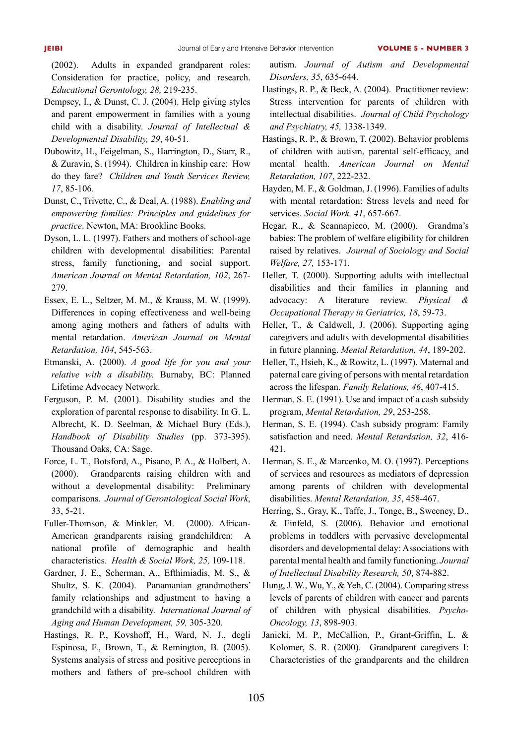(2002). Adults in expanded grandparent roles: Consideration for practice, policy, and research. *Educational Gerontology, 28,* 219-235.

- Dempsey, I., & Dunst, C. J. (2004). Help giving styles and parent empowerment in families with a young child with a disability. *Journal of Intellectual & Developmental Disability, 29*, 40-51.
- Dubowitz, H., Feigelman, S., Harrington, D., Starr, R., & Zuravin, S. (1994). Children in kinship care: How do they fare? *Children and Youth Services Review, 17*, 85-106.
- Dunst, C., Trivette, C., & Deal, A. (1988). *Enabling and empowering families: Principles and guidelines for practice*. Newton, MA: Brookline Books.
- Dyson, L. L. (1997). Fathers and mothers of school-age children with developmental disabilities: Parental stress, family functioning, and social support. *American Journal on Mental Retardation, 102*, 267- 279.
- Essex, E. L., Seltzer, M. M., & Krauss, M. W. (1999). Differences in coping effectiveness and well-being among aging mothers and fathers of adults with mental retardation. *American Journal on Mental Retardation, 104*, 545-563.
- Etmanski, A. (2000). *A good life for you and your relative with a disability.* Burnaby, BC: Planned Lifetime Advocacy Network.
- Ferguson, P. M. (2001). Disability studies and the exploration of parental response to disability. In G. L. Albrecht, K. D. Seelman, & Michael Bury (Eds.), *Handbook of Disability Studies* (pp. 373-395). Thousand Oaks, CA: Sage.
- Force, L. T., Botsford, A., Pisano, P. A., & Holbert, A. (2000). Grandparents raising children with and without a developmental disability: Preliminary comparisons. *Journal of Gerontological Social Work*, 33, 5-21.
- Fuller-Thomson, & Minkler, M. (2000). African-American grandparents raising grandchildren: A national profile of demographic and health characteristics. *Health & Social Work, 25,* 109-118.
- Gardner, J. E., Scherman, A., Efthimiadis, M. S., & Shultz, S. K. (2004). Panamanian grandmothers' family relationships and adjustment to having a grandchild with a disability. *International Journal of Aging and Human Development, 59,* 305-320.
- Hastings, R. P., Kovshoff, H., Ward, N. J., degli Espinosa, F., Brown, T., & Remington, B. (2005). Systems analysis of stress and positive perceptions in mothers and fathers of pre-school children with

autism. *Journal of Autism and Developmental Disorders, 35*, 635-644.

- Hastings, R. P., & Beck, A. (2004). Practitioner review: Stress intervention for parents of children with intellectual disabilities. *Journal of Child Psychology and Psychiatry, 45,* 1338-1349.
- Hastings, R. P., & Brown, T. (2002). Behavior problems of children with autism, parental self-efficacy, and mental health. *American Journal on Mental Retardation, 107*, 222-232.
- Hayden, M. F., & Goldman, J. (1996). Families of adults with mental retardation: Stress levels and need for services. *Social Work, 41*, 657-667.
- Hegar, R., & Scannapieco, M. (2000). Grandma's babies: The problem of welfare eligibility for children raised by relatives. *Journal of Sociology and Social Welfare, 27,* 153-171.
- Heller, T. (2000). Supporting adults with intellectual disabilities and their families in planning and advocacy: A literature review. *Physical & Occupational Therapy in Geriatrics, 18*, 59-73.
- Heller, T., & Caldwell, J. (2006). Supporting aging caregivers and adults with developmental disabilities in future planning. *Mental Retardation, 44*, 189-202.
- Heller, T., Hsieh, K., & Rowitz, L. (1997). Maternal and paternal care giving of persons with mental retardation across the lifespan. *Family Relations, 46*, 407-415.
- Herman, S. E. (1991). Use and impact of a cash subsidy program, *Mental Retardation, 29*, 253-258.
- Herman, S. E. (1994). Cash subsidy program: Family satisfaction and need. *Mental Retardation, 32*, 416- 421.
- Herman, S. E., & Marcenko, M. O. (1997). Perceptions of services and resources as mediators of depression among parents of children with developmental disabilities. *Mental Retardation, 35*, 458-467.
- Herring, S., Gray, K., Taffe, J., Tonge, B., Sweeney, D., & Einfeld, S. (2006). Behavior and emotional problems in toddlers with pervasive developmental disorders and developmental delay: Associations with parental mental health and family functioning. *Journal of Intellectual Disability Research, 50*, 874-882.
- Hung, J. W., Wu, Y., & Yeh, C. (2004). Comparing stress levels of parents of children with cancer and parents of children with physical disabilities. *Psycho-Oncology, 13*, 898-903.
- Janicki, M. P., McCallion, P., Grant-Griffin, L. & Kolomer, S. R. (2000). Grandparent caregivers I: Characteristics of the grandparents and the children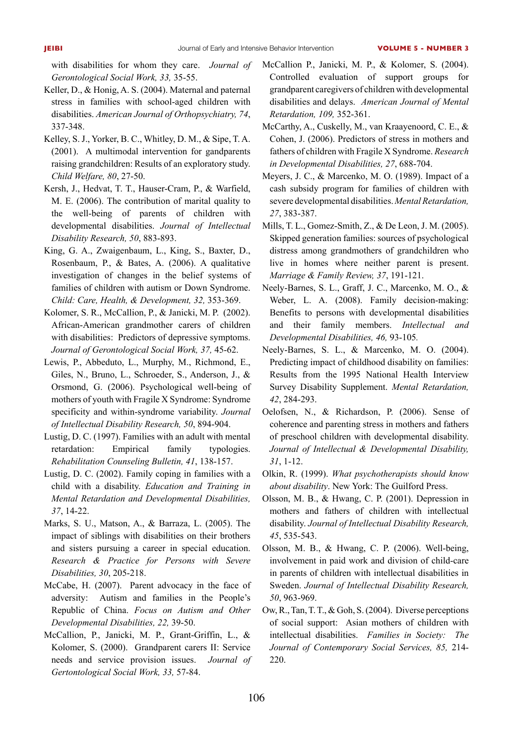with disabilities for whom they care. *Journal of Gerontological Social Work, 33,* 35-55.

- Keller, D., & Honig, A. S. (2004). Maternal and paternal stress in families with school-aged children with disabilities. *American Journal of Orthopsychiatry, 74*, 337-348.
- Kelley, S. J., Yorker, B. C., Whitley, D. M., & Sipe, T. A. (2001). A multimodal intervention for gandparents raising grandchildren: Results of an exploratory study. *Child Welfare, 80*, 27-50.
- Kersh, J., Hedvat, T. T., Hauser-Cram, P., & Warfield, M. E. (2006). The contribution of marital quality to the well-being of parents of children with developmental disabilities. *Journal of Intellectual Disability Research, 50*, 883-893.
- King, G. A., Zwaigenbaum, L., King, S., Baxter, D., Rosenbaum, P., & Bates, A. (2006). A qualitative investigation of changes in the belief systems of families of children with autism or Down Syndrome. *Child: Care, Health, & Development, 32,* 353-369.
- Kolomer, S. R., McCallion, P., & Janicki, M. P. (2002). African-American grandmother carers of children with disabilities: Predictors of depressive symptoms. *Journal of Gerontological Social Work, 37,* 45-62.
- Lewis, P., Abbeduto, L., Murphy, M., Richmond, E., Giles, N., Bruno, L., Schroeder, S., Anderson, J., & Orsmond, G. (2006). Psychological well-being of mothers of youth with Fragile X Syndrome: Syndrome specificity and within-syndrome variability. *Journal of Intellectual Disability Research, 50*, 894-904.
- Lustig, D. C. (1997). Families with an adult with mental retardation: Empirical family typologies. *Rehabilitation Counseling Bulletin, 41*, 138-157.
- Lustig, D. C. (2002). Family coping in families with a child with a disability. *Education and Training in Mental Retardation and Developmental Disabilities, 37*, 14-22.
- Marks, S. U., Matson, A., & Barraza, L. (2005). The impact of siblings with disabilities on their brothers and sisters pursuing a career in special education. *Research & Practice for Persons with Severe Disabilities, 30*, 205-218.
- McCabe, H. (2007). Parent advocacy in the face of adversity: Autism and families in the People's Republic of China. *Focus on Autism and Other Developmental Disabilities, 22,* 39-50.
- McCallion, P., Janicki, M. P., Grant-Griffin, L., & Kolomer, S. (2000). Grandparent carers II: Service needs and service provision issues. *Journal of Gertontological Social Work, 33,* 57-84.
- McCallion P., Janicki, M. P., & Kolomer, S. (2004). Controlled evaluation of support groups for grandparent caregivers of children with developmental disabilities and delays. *American Journal of Mental Retardation, 109,* 352-361.
- McCarthy, A., Cuskelly, M., van Kraayenoord, C. E., & Cohen, J. (2006). Predictors of stress in mothers and fathers of children with Fragile X Syndrome. *Research in Developmental Disabilities, 27*, 688-704.
- Meyers, J. C., & Marcenko, M. O. (1989). Impact of a cash subsidy program for families of children with severe developmental disabilities. *Mental Retardation, 27*, 383-387.
- Mills, T. L., Gomez-Smith, Z., & De Leon, J. M. (2005). Skipped generation families: sources of psychological distress among grandmothers of grandchildren who live in homes where neither parent is present. *Marriage & Family Review, 37*, 191-121.
- Neely-Barnes, S. L., Graff, J. C., Marcenko, M. O., & Weber, L. A. (2008). Family decision-making: Benefits to persons with developmental disabilities and their family members. *Intellectual and Developmental Disabilities, 46,* 93-105*.*
- Neely-Barnes, S. L., & Marcenko, M. O. (2004). Predicting impact of childhood disability on families: Results from the 1995 National Health Interview Survey Disability Supplement. *Mental Retardation, 42*, 284-293.
- Oelofsen, N., & Richardson, P. (2006). Sense of coherence and parenting stress in mothers and fathers of preschool children with developmental disability. *Journal of Intellectual & Developmental Disability, 31*, 1-12.
- Olkin, R. (1999). *What psychotherapists should know about disability*. New York: The Guilford Press.
- Olsson, M. B., & Hwang, C. P. (2001). Depression in mothers and fathers of children with intellectual disability. *Journal of Intellectual Disability Research, 45*, 535-543.
- Olsson, M. B., & Hwang, C. P. (2006). Well-being, involvement in paid work and division of child-care in parents of children with intellectual disabilities in Sweden. *Journal of Intellectual Disability Research, 50*, 963-969.
- Ow, R., Tan, T. T., & Goh, S. (2004). Diverse perceptions of social support: Asian mothers of children with intellectual disabilities. *Families in Society: The Journal of Contemporary Social Services, 85,* 214- 220.